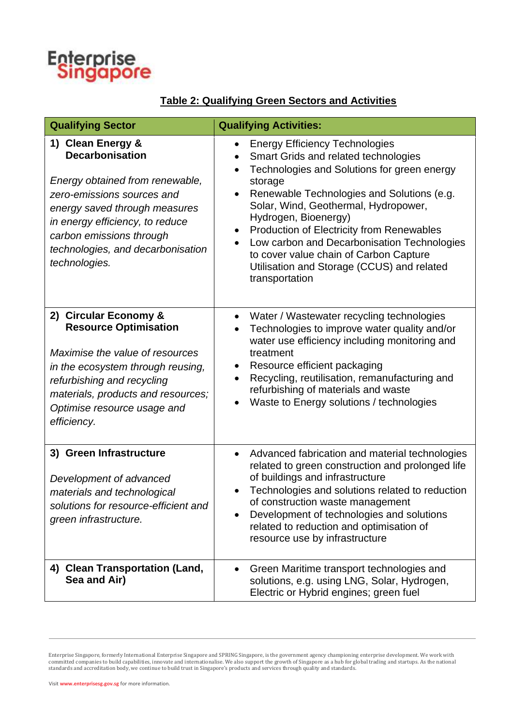

## **Table 2: Qualifying Green Sectors and Activities**

| <b>Qualifying Sector</b>                                                                                                                                                                                                                                           | <b>Qualifying Activities:</b>                                                                                                                                                                                                                                                                                                                                                                                                                                                                                   |
|--------------------------------------------------------------------------------------------------------------------------------------------------------------------------------------------------------------------------------------------------------------------|-----------------------------------------------------------------------------------------------------------------------------------------------------------------------------------------------------------------------------------------------------------------------------------------------------------------------------------------------------------------------------------------------------------------------------------------------------------------------------------------------------------------|
| 1) Clean Energy &<br><b>Decarbonisation</b><br>Energy obtained from renewable,<br>zero-emissions sources and<br>energy saved through measures<br>in energy efficiency, to reduce<br>carbon emissions through<br>technologies, and decarbonisation<br>technologies. | <b>Energy Efficiency Technologies</b><br>Smart Grids and related technologies<br>$\bullet$<br>Technologies and Solutions for green energy<br>$\bullet$<br>storage<br>Renewable Technologies and Solutions (e.g.<br>Solar, Wind, Geothermal, Hydropower,<br>Hydrogen, Bioenergy)<br>Production of Electricity from Renewables<br>$\bullet$<br>Low carbon and Decarbonisation Technologies<br>$\bullet$<br>to cover value chain of Carbon Capture<br>Utilisation and Storage (CCUS) and related<br>transportation |
| 2) Circular Economy &<br><b>Resource Optimisation</b><br>Maximise the value of resources<br>in the ecosystem through reusing,<br>refurbishing and recycling<br>materials, products and resources;<br>Optimise resource usage and<br>efficiency.                    | Water / Wastewater recycling technologies<br>$\bullet$<br>Technologies to improve water quality and/or<br>water use efficiency including monitoring and<br>treatment<br>Resource efficient packaging<br>Recycling, reutilisation, remanufacturing and<br>$\bullet$<br>refurbishing of materials and waste<br>Waste to Energy solutions / technologies                                                                                                                                                           |
| 3) Green Infrastructure<br>Development of advanced<br>materials and technological<br>solutions for resource-efficient and<br>green infrastructure.                                                                                                                 | Advanced fabrication and material technologies<br>$\bullet$<br>related to green construction and prolonged life<br>of buildings and infrastructure<br>Technologies and solutions related to reduction<br>of construction waste management<br>Development of technologies and solutions<br>related to reduction and optimisation of<br>resource use by infrastructure                                                                                                                                            |
| 4) Clean Transportation (Land,<br>Sea and Air)                                                                                                                                                                                                                     | Green Maritime transport technologies and<br>solutions, e.g. using LNG, Solar, Hydrogen,<br>Electric or Hybrid engines; green fuel                                                                                                                                                                                                                                                                                                                                                                              |

Enterprise Singapore, formerly International Enterprise Singapore and SPRING Singapore, is the government agency championing enterprise development. We work with<br>committed companies to build capabilities, innovate and inte standards and accreditation body, we continue to build trust in Singapore's products and services through quality and standards.